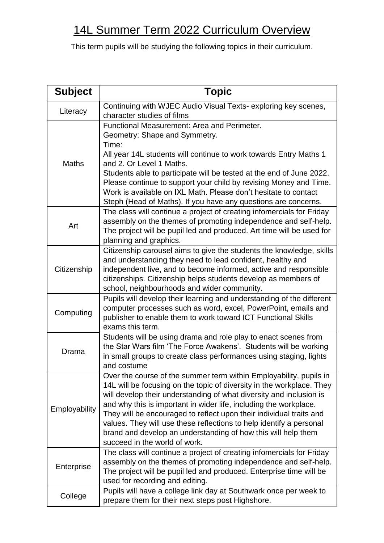## 14L Summer Term 2022 Curriculum Overview

This term pupils will be studying the following topics in their curriculum.

| <b>Subject</b> | <b>Topic</b>                                                                                                                                                                                                                                                                                                                                                                                                                                                                                                                            |
|----------------|-----------------------------------------------------------------------------------------------------------------------------------------------------------------------------------------------------------------------------------------------------------------------------------------------------------------------------------------------------------------------------------------------------------------------------------------------------------------------------------------------------------------------------------------|
| Literacy       | Continuing with WJEC Audio Visual Texts-exploring key scenes,<br>character studies of films                                                                                                                                                                                                                                                                                                                                                                                                                                             |
| <b>Maths</b>   | Functional Measurement: Area and Perimeter.<br>Geometry: Shape and Symmetry.<br>Time:<br>All year 14L students will continue to work towards Entry Maths 1<br>and 2. Or Level 1 Maths.<br>Students able to participate will be tested at the end of June 2022.<br>Please continue to support your child by revising Money and Time.<br>Work is available on IXL Math. Please don't hesitate to contact<br>Steph (Head of Maths). If you have any questions are concerns.                                                                |
| Art            | The class will continue a project of creating infomercials for Friday<br>assembly on the themes of promoting independence and self-help.<br>The project will be pupil led and produced. Art time will be used for<br>planning and graphics.                                                                                                                                                                                                                                                                                             |
| Citizenship    | Citizenship carousel aims to give the students the knowledge, skills<br>and understanding they need to lead confident, healthy and<br>independent live, and to become informed, active and responsible<br>citizenships. Citizenship helps students develop as members of<br>school, neighbourhoods and wider community.                                                                                                                                                                                                                 |
| Computing      | Pupils will develop their learning and understanding of the different<br>computer processes such as word, excel, PowerPoint, emails and<br>publisher to enable them to work toward ICT Functional Skills<br>exams this term.                                                                                                                                                                                                                                                                                                            |
| Drama          | Students will be using drama and role play to enact scenes from<br>the Star Wars film 'The Force Awakens'. Students will be working<br>in small groups to create class performances using staging, lights<br>and costume                                                                                                                                                                                                                                                                                                                |
| Employability  | Over the course of the summer term within Employability, pupils in<br>14L will be focusing on the topic of diversity in the workplace. They<br>will develop their understanding of what diversity and inclusion is<br>and why this is important in wider life, including the workplace.<br>They will be encouraged to reflect upon their individual traits and<br>values. They will use these reflections to help identify a personal<br>brand and develop an understanding of how this will help them<br>succeed in the world of work. |
| Enterprise     | The class will continue a project of creating infomercials for Friday<br>assembly on the themes of promoting independence and self-help.<br>The project will be pupil led and produced. Enterprise time will be<br>used for recording and editing.                                                                                                                                                                                                                                                                                      |
| College        | Pupils will have a college link day at Southwark once per week to<br>prepare them for their next steps post Highshore.                                                                                                                                                                                                                                                                                                                                                                                                                  |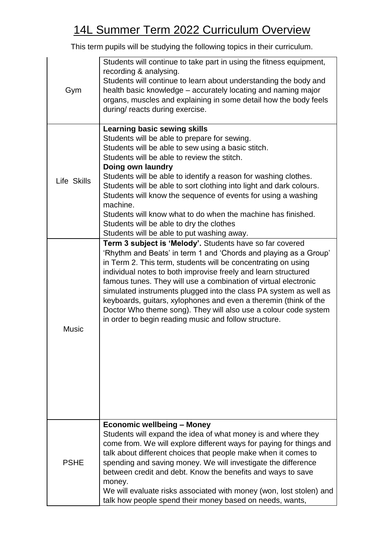## 14L Summer Term 2022 Curriculum Overview

This term pupils will be studying the following topics in their curriculum.

| Gym          | Students will continue to take part in using the fitness equipment,<br>recording & analysing.<br>Students will continue to learn about understanding the body and<br>health basic knowledge – accurately locating and naming major<br>organs, muscles and explaining in some detail how the body feels<br>during/ reacts during exercise.                                                                                                                                                                                                                                                               |
|--------------|---------------------------------------------------------------------------------------------------------------------------------------------------------------------------------------------------------------------------------------------------------------------------------------------------------------------------------------------------------------------------------------------------------------------------------------------------------------------------------------------------------------------------------------------------------------------------------------------------------|
| Life Skills  | <b>Learning basic sewing skills</b><br>Students will be able to prepare for sewing.<br>Students will be able to sew using a basic stitch.<br>Students will be able to review the stitch.<br>Doing own laundry<br>Students will be able to identify a reason for washing clothes.<br>Students will be able to sort clothing into light and dark colours.<br>Students will know the sequence of events for using a washing<br>machine.<br>Students will know what to do when the machine has finished.<br>Students will be able to dry the clothes<br>Students will be able to put washing away.          |
| <b>Music</b> | Term 3 subject is 'Melody'. Students have so far covered<br>'Rhythm and Beats' in term 1 and 'Chords and playing as a Group'<br>in Term 2. This term, students will be concentrating on using<br>individual notes to both improvise freely and learn structured<br>famous tunes. They will use a combination of virtual electronic<br>simulated instruments plugged into the class PA system as well as<br>keyboards, guitars, xylophones and even a theremin (think of the<br>Doctor Who theme song). They will also use a colour code system<br>in order to begin reading music and follow structure. |
| <b>PSHE</b>  | <b>Economic wellbeing - Money</b><br>Students will expand the idea of what money is and where they<br>come from. We will explore different ways for paying for things and<br>talk about different choices that people make when it comes to<br>spending and saving money. We will investigate the difference<br>between credit and debt. Know the benefits and ways to save<br>money.<br>We will evaluate risks associated with money (won, lost stolen) and<br>talk how people spend their money based on needs, wants,                                                                                |